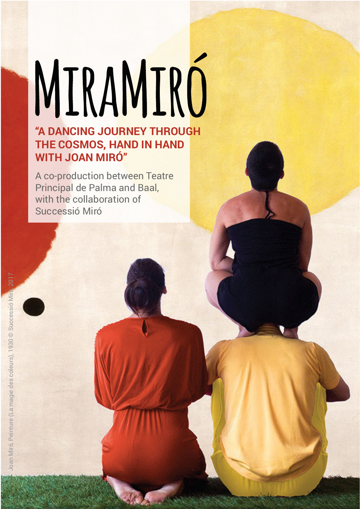### MIRAMIRÓ "A DANCING JOURNEY THROUGH THE COSMOS, HAND IN HAND WITH JOAN MIRÓ"

A co-production between Teatre Principal de Palma and Baal, with the collaboration of Successió Miró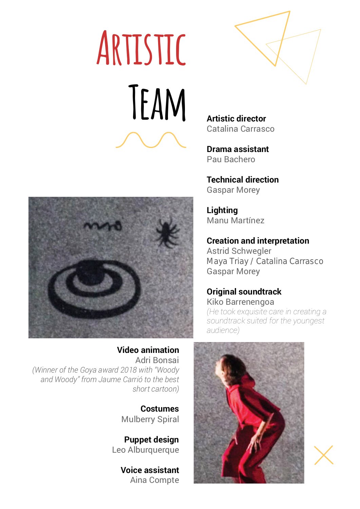# **ARTISTIC** TEAM Artistic director



Catalina Carrasco

Drama assistant Pau Bachero

Technical direction Gaspar Morey

**Lighting** Manu Martínez

Creation and interpretation Astrid Schwegler Maya Triay / Catalina Carrasco Gaspar Morey

### Original soundtrack

Kiko Barrenengoa (He took exquisite care in creating a soundtrack suited for the youngest audience)





Video animation Adri Bonsai (Winner of the Goya award 2018 with "Woody and Woody" from Jaume Carrió to the best short cartoon)

> Costumes Mulberry Spiral

Puppet design Leo Alburquerque

> Voice assistant Aina Compte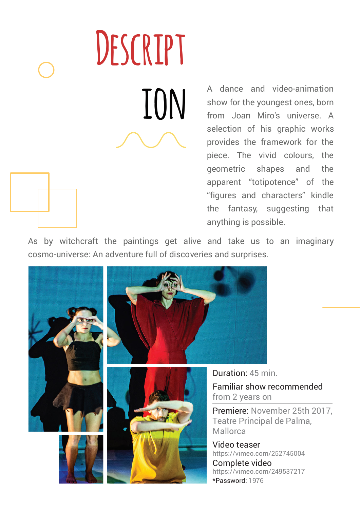DESCRIPT

**included** A dance and video-animation<br>show for the youngest ones, born<br>from Joan Miro's universe. A show for the youngest ones, born from Joan Miro's universe. A selection of his graphic works provides the framework for the piece. The vivid colours, the geometric shapes and the apparent "totipotence" of the "figures and characters" kindle the fantasy, suggesting that anything is possible.

As by witchcraft the paintings get alive and take us to an imaginary cosmo-universe: An adventure full of discoveries and surprises.

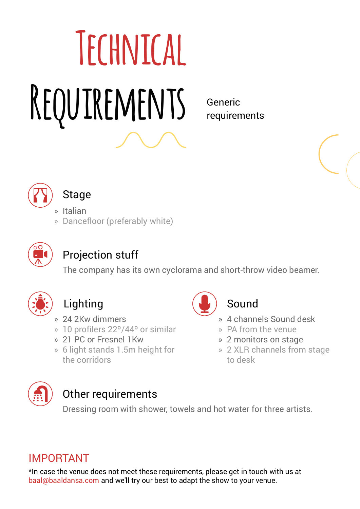# **TECHNICAL** REQUIREMENTS Generic

requirements



### **Stage**

» Italian

» Dancefloor (preferably white)



### Projection stuff

The company has its own cyclorama and short-throw video beamer.



### Lighting

- » 24 2Kw dimmers
- » 10 profilers 22º/44º or similar
- » 21 PC or Fresnel 1Kw
- » 6 light stands 1.5m height for the corridors



### Sound

- » 4 channels Sound desk
- » PA from the venue
- » 2 monitors on stage
- » 2 XLR channels from stage to desk



### Other requirements

Dressing room with shower, towels and hot water for three artists.

### IMPORTANT

\*In case the venue does not meet these requirements, please get in touch with us at baal@baaldansa.com and we'll try our best to adapt the show to your venue.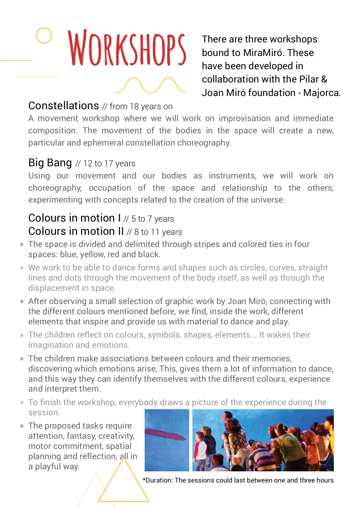# WORKSHOPS There are three workshops<br>bound to MiraMiró. These

bound to MiraMiró. These have been developed in collaboration with the Pilar & Joan Miró foundation - Majorca.

### Constellations // from 18 years on

A movement workshop where we will work on improvisation and immediate composition. The movement of the bodies in the space will create a new, particular and ephemeral constellation choreography.

### Big Bang // 12 to 17 years

Using our movement and our bodies as instruments, we will work on choreography, occupation of the space and relationship to the others, experimenting with concepts related to the creation of the universe.

### Colours in motion I // 5 to 7 years Colours in motion II // 8 to 11 years

- The space is divided and delimited through stripes and colored ties in four » spaces: blue, yellow, red and black.
- We work to be able to dance forms and shapes such as circles, curves, straight » lines and dots through the movement of the body itself, as well as through the displacement in space.
- After observing a small selection of graphic work by Joan Miró, connecting with » the different colours mentioned before, we find, inside the work, different elements that inspire and provide us with material to dance and play.
- The children reflect on colours, symbols, shapes, elements... It wakes their » imagination and emotions.
- The children make associations between colours and their memories, » discovering which emotions arise, This, gives them a lot of information to dance, and this way they can identify themselves with the different colours, experience and interpret them.
- To finish the workshop, everybody draws a picture of the experience during the » session.
- The proposed tasks require » attention, fantasy, creativity, motor commitment, spatial planning and reflection, all in a playful way.



\*Duration: The sessions could last between one and three hours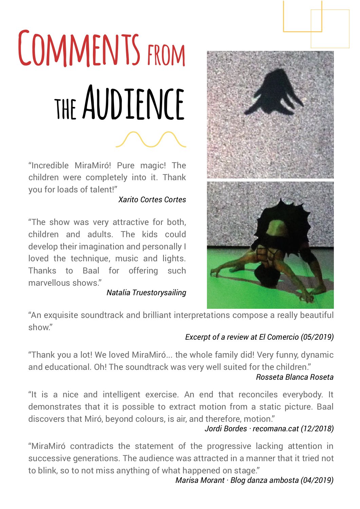## COMMENTS FROM THE AUDIENCE

"Incredible MiraMiró! Pure magic! The children were completely into it. Thank you for loads of talent!"

### Xarito Cortes Cortes

"The show was very attractive for both, children and adults. The kids could develop their imagination and personally I loved the technique, music and lights. Thanks to Baal for offering such marvellous shows."

### Natalia Truestorysailing



"An exquisite soundtrack and brilliant interpretations compose a really beautiful show."

### Excerpt of a review at El Comercio (05/2019)

"Thank you a lot! We loved MiraMiró... the whole family did! Very funny, dynamic and educational. Oh! The soundtrack was very well suited for the children."

### Rosseta Blanca Roseta

"It is a nice and intelligent exercise. An end that reconciles everybody. It demonstrates that it is possible to extract motion from a static picture. Baal discovers that Miró, beyond colours, is air, and therefore, motion."

Jordi Bordes · recomana.cat (12/2018)

"MiraMiró contradicts the statement of the progressive lacking attention in successive generations. The audience was attracted in a manner that it tried not to blink, so to not miss anything of what happened on stage."

Marisa Morant · Blog danza ambosta (04/2019)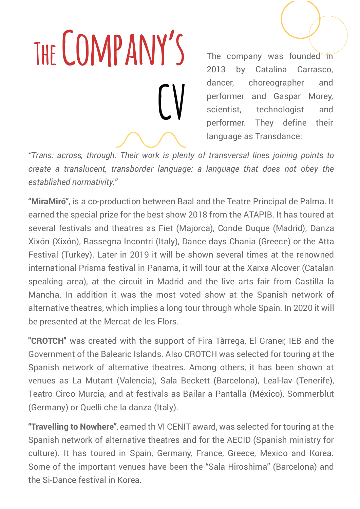# THE COMPANY'S CV

The company was founded in 2013 by Catalina Carrasco, dancer, choreographer and performer and Gaspar Morey, scientist, technologist and performer. They define their language as Transdance:

"Trans: across, through. Their work is plenty of transversal lines joining points to create a translucent, transborder language; a language that does not obey the established normativity."

"MiraMiró", is a co-production between Baal and the Teatre Principal de Palma. It earned the special prize for the best show 2018 from the ATAPIB. It has toured at several festivals and theatres as Fiet (Majorca), Conde Duque (Madrid), Danza Xixón (Xixón), Rassegna Incontri (Italy), Dance days Chania (Greece) or the Atta Festival (Turkey). Later in 2019 it will be shown several times at the renowned international Prisma festival in Panama, it will tour at the Xarxa Alcover (Catalan speaking area), at the circuit in Madrid and the live arts fair from Castilla la Mancha. In addition it was the most voted show at the Spanish network of alternative theatres, which implies a long tour through whole Spain. In 2020 it will be presented at the Mercat de les Flors.

"CROTCH" was created with the support of Fira Tàrrega, El Graner, IEB and the Government of the Balearic Islands. Also CROTCH was selected for touring at the Spanish network of alternative theatres. Among others, it has been shown at venues as La Mutant (Valencia), Sala Beckett (Barcelona), Leal-lav (Tenerife), Teatro Circo Murcia, and at festivals as Bailar a Pantalla (México), Sommerblut (Germany) or Quelli che la danza (Italy).

"Travelling to Nowhere", earned th VI CENIT award, was selected for touring at the Spanish network of alternative theatres and for the AECID (Spanish ministry for culture). It has toured in Spain, Germany, France, Greece, Mexico and Korea. Some of the important venues have been the "Sala Hiroshima" (Barcelona) and the Si-Dance festival in Korea.